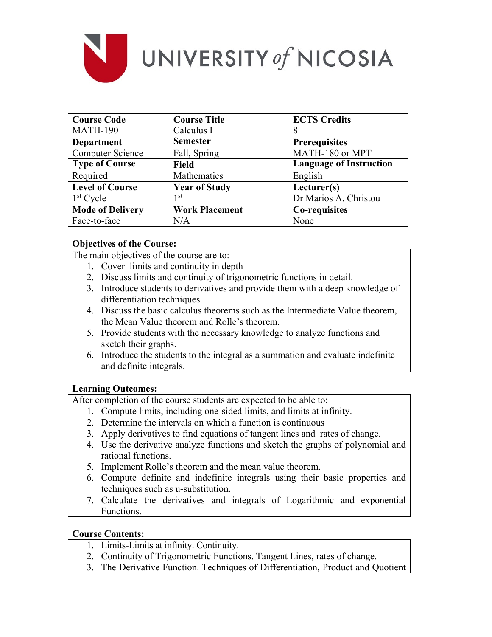

| <b>Course Code</b>      | <b>Course Title</b>   | <b>ECTS Credits</b>            |
|-------------------------|-----------------------|--------------------------------|
| <b>MATH-190</b>         | Calculus I            | 8                              |
| <b>Department</b>       | <b>Semester</b>       | <b>Prerequisites</b>           |
| <b>Computer Science</b> | Fall, Spring          | MATH-180 or MPT                |
| <b>Type of Course</b>   | Field                 | <b>Language of Instruction</b> |
| Required                | Mathematics           | English                        |
| <b>Level of Course</b>  | <b>Year of Study</b>  | Lecturer(s)                    |
| $1st$ Cycle             | 1 st                  | Dr Marios A. Christou          |
| <b>Mode of Delivery</b> | <b>Work Placement</b> | Co-requisites                  |
| Face-to-face            | N/A                   | None                           |

### **Objectives of the Course:**

The main objectives of the course are to:

- 1. Cover limits and continuity in depth
- 2. Discuss limits and continuity of trigonometric functions in detail.
- 3. Introduce students to derivatives and provide them with a deep knowledge of differentiation techniques.
- 4. Discuss the basic calculus theorems such as the Intermediate Value theorem, the Mean Value theorem and Rolle's theorem.
- 5. Provide students with the necessary knowledge to analyze functions and sketch their graphs.
- 6. Introduce the students to the integral as a summation and evaluate indefinite and definite integrals.

## **Learning Outcomes:**

After completion of the course students are expected to be able to:

- 1. Compute limits, including one-sided limits, and limits at infinity.
- 2. Determine the intervals on which a function is continuous
- 3. Apply derivatives to find equations of tangent lines and rates of change.
- 4. Use the derivative analyze functions and sketch the graphs of polynomial and rational functions.
- 5. Implement Rolle's theorem and the mean value theorem.
- 6. Compute definite and indefinite integrals using their basic properties and techniques such as u-substitution.
- 7. Calculate the derivatives and integrals of Logarithmic and exponential Functions.

### **Course Contents:**

- 1. Limits-Limits at infinity. Continuity.
- 2. Continuity of Trigonometric Functions. Tangent Lines, rates of change.
- 3. The Derivative Function. Techniques of Differentiation, Product and Quotient